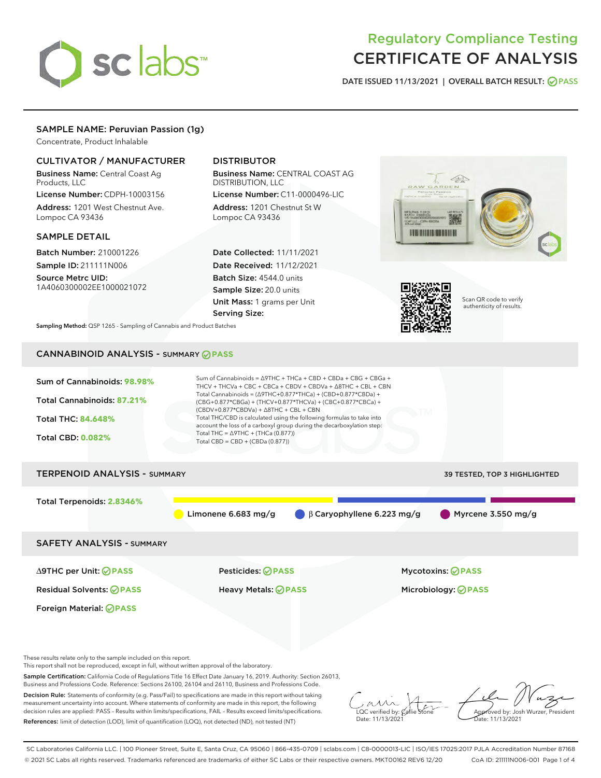

# Regulatory Compliance Testing CERTIFICATE OF ANALYSIS

DATE ISSUED 11/13/2021 | OVERALL BATCH RESULT: @ PASS

# SAMPLE NAME: Peruvian Passion (1g)

Concentrate, Product Inhalable

# CULTIVATOR / MANUFACTURER

Business Name: Central Coast Ag Products, LLC

License Number: CDPH-10003156 Address: 1201 West Chestnut Ave. Lompoc CA 93436

#### SAMPLE DETAIL

Batch Number: 210001226 Sample ID: 211111N006

Source Metrc UID: 1A4060300002EE1000021072

# DISTRIBUTOR

Business Name: CENTRAL COAST AG DISTRIBUTION, LLC

License Number: C11-0000496-LIC Address: 1201 Chestnut St W Lompoc CA 93436

Date Collected: 11/11/2021 Date Received: 11/12/2021 Batch Size: 4544.0 units Sample Size: 20.0 units Unit Mass: 1 grams per Unit Serving Size:





Scan QR code to verify authenticity of results.

Sampling Method: QSP 1265 - Sampling of Cannabis and Product Batches

# CANNABINOID ANALYSIS - SUMMARY **PASS**



These results relate only to the sample included on this report.

This report shall not be reproduced, except in full, without written approval of the laboratory.

Sample Certification: California Code of Regulations Title 16 Effect Date January 16, 2019. Authority: Section 26013, Business and Professions Code. Reference: Sections 26100, 26104 and 26110, Business and Professions Code.

Decision Rule: Statements of conformity (e.g. Pass/Fail) to specifications are made in this report without taking measurement uncertainty into account. Where statements of conformity are made in this report, the following decision rules are applied: PASS – Results within limits/specifications, FAIL – Results exceed limits/specifications. References: limit of detection (LOD), limit of quantification (LOQ), not detected (ND), not tested (NT)

 $\overline{\text{C}}$  verified by:  $\mathcal C$ Date: 11/13/202 $^{\prime}$ 

Aved by: Josh Wurzer, President Date: 11/13/2021

SC Laboratories California LLC. | 100 Pioneer Street, Suite E, Santa Cruz, CA 95060 | 866-435-0709 | sclabs.com | C8-0000013-LIC | ISO/IES 17025:2017 PJLA Accreditation Number 87168 © 2021 SC Labs all rights reserved. Trademarks referenced are trademarks of either SC Labs or their respective owners. MKT00162 REV6 12/20 CoA ID: 211111N006-001 Page 1 of 4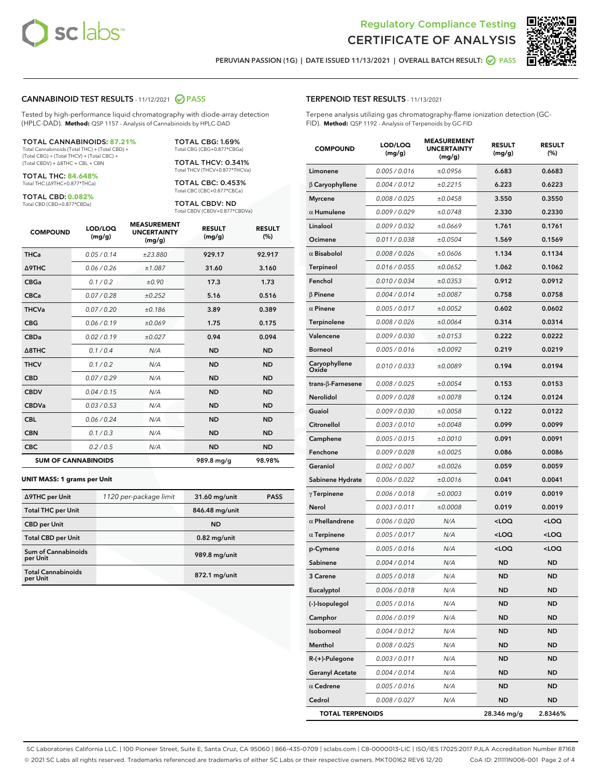



PERUVIAN PASSION (1G) | DATE ISSUED 11/13/2021 | OVERALL BATCH RESULT: @ PASS

#### CANNABINOID TEST RESULTS - 11/12/2021 2 PASS

Tested by high-performance liquid chromatography with diode-array detection (HPLC-DAD). **Method:** QSP 1157 - Analysis of Cannabinoids by HPLC-DAD

#### TOTAL CANNABINOIDS: **87.21%**

Total Cannabinoids (Total THC) + (Total CBD) + (Total CBG) + (Total THCV) + (Total CBC) + (Total CBDV) + ∆8THC + CBL + CBN

TOTAL THC: **84.648%** Total THC (∆9THC+0.877\*THCa)

TOTAL CBD: **0.082%**

Total CBD (CBD+0.877\*CBDa)

TOTAL CBG: 1.69% Total CBG (CBG+0.877\*CBGa)

TOTAL THCV: 0.341% Total THCV (THCV+0.877\*THCVa)

TOTAL CBC: 0.453% Total CBC (CBC+0.877\*CBCa)

TOTAL CBDV: ND Total CBDV (CBDV+0.877\*CBDVa)

| <b>COMPOUND</b>  | LOD/LOQ<br>(mg/g)          | <b>MEASUREMENT</b><br><b>UNCERTAINTY</b><br>(mg/g) | <b>RESULT</b><br>(mg/g) | <b>RESULT</b><br>(%) |
|------------------|----------------------------|----------------------------------------------------|-------------------------|----------------------|
| <b>THCa</b>      | 0.05/0.14                  | ±23.880                                            | 929.17                  | 92.917               |
| <b>A9THC</b>     | 0.06 / 0.26                | ±1.087                                             | 31.60                   | 3.160                |
| <b>CBGa</b>      | 0.1 / 0.2                  | ±0.90                                              | 17.3                    | 1.73                 |
| <b>CBCa</b>      | 0.07 / 0.28                | ±0.252                                             | 5.16                    | 0.516                |
| <b>THCVa</b>     | 0.07/0.20                  | ±0.186                                             | 3.89                    | 0.389                |
| <b>CBG</b>       | 0.06/0.19                  | ±0.069                                             | 1.75                    | 0.175                |
| <b>CBDa</b>      | 0.02/0.19                  | ±0.027                                             | 0.94                    | 0.094                |
| $\triangle$ 8THC | 0.1/0.4                    | N/A                                                | <b>ND</b>               | <b>ND</b>            |
| <b>THCV</b>      | 0.1/0.2                    | N/A                                                | <b>ND</b>               | <b>ND</b>            |
| <b>CBD</b>       | 0.07/0.29                  | N/A                                                | <b>ND</b>               | <b>ND</b>            |
| <b>CBDV</b>      | 0.04 / 0.15                | N/A                                                | <b>ND</b>               | <b>ND</b>            |
| <b>CBDVa</b>     | 0.03/0.53                  | N/A                                                | <b>ND</b>               | <b>ND</b>            |
| <b>CBL</b>       | 0.06 / 0.24                | N/A                                                | <b>ND</b>               | <b>ND</b>            |
| <b>CBN</b>       | 0.1/0.3                    | N/A                                                | <b>ND</b>               | <b>ND</b>            |
| <b>CBC</b>       | 0.2 / 0.5                  | N/A                                                | <b>ND</b>               | <b>ND</b>            |
|                  | <b>SUM OF CANNABINOIDS</b> |                                                    | 989.8 mg/g              | 98.98%               |

#### **UNIT MASS: 1 grams per Unit**

| ∆9THC per Unit                         | 1120 per-package limit | 31.60 mg/unit   | <b>PASS</b> |
|----------------------------------------|------------------------|-----------------|-------------|
| <b>Total THC per Unit</b>              |                        | 846.48 mg/unit  |             |
| <b>CBD per Unit</b>                    |                        | <b>ND</b>       |             |
| <b>Total CBD per Unit</b>              |                        | $0.82$ mg/unit  |             |
| <b>Sum of Cannabinoids</b><br>per Unit |                        | 989.8 mg/unit   |             |
| <b>Total Cannabinoids</b><br>per Unit  |                        | $872.1$ mg/unit |             |

| <b>COMPOUND</b>        | LOD/LOQ<br>(mg/g) | <b>MEASUREMENT</b><br><b>UNCERTAINTY</b><br>(mg/g) | <b>RESULT</b><br>(mg/g)                         | <b>RESULT</b><br>$(\%)$ |
|------------------------|-------------------|----------------------------------------------------|-------------------------------------------------|-------------------------|
| Limonene               | 0.005 / 0.016     | ±0.0956                                            | 6.683                                           | 0.6683                  |
| $\beta$ Caryophyllene  | 0.004 / 0.012     | ±0.2215                                            | 6.223                                           | 0.6223                  |
| <b>Myrcene</b>         | 0.008 / 0.025     | ±0.0458                                            | 3.550                                           | 0.3550                  |
| $\alpha$ Humulene      | 0.009 / 0.029     | ±0.0748                                            | 2.330                                           | 0.2330                  |
| Linalool               | 0.009 / 0.032     | ±0.0669                                            | 1.761                                           | 0.1761                  |
| Ocimene                | 0.011 / 0.038     | ±0.0504                                            | 1.569                                           | 0.1569                  |
| $\alpha$ Bisabolol     | 0.008 / 0.026     | ±0.0606                                            | 1.134                                           | 0.1134                  |
| <b>Terpineol</b>       | 0.016 / 0.055     | ±0.0652                                            | 1.062                                           | 0.1062                  |
| Fenchol                | 0.010 / 0.034     | ±0.0353                                            | 0.912                                           | 0.0912                  |
| $\beta$ Pinene         | 0.004 / 0.014     | ±0.0087                                            | 0.758                                           | 0.0758                  |
| $\alpha$ Pinene        | 0.005 / 0.017     | ±0.0052                                            | 0.602                                           | 0.0602                  |
| Terpinolene            | 0.008 / 0.026     | ±0.0064                                            | 0.314                                           | 0.0314                  |
| Valencene              | 0.009 / 0.030     | ±0.0153                                            | 0.222                                           | 0.0222                  |
| <b>Borneol</b>         | 0.005 / 0.016     | ±0.0092                                            | 0.219                                           | 0.0219                  |
| Caryophyllene<br>Oxide | 0.010 / 0.033     | ±0.0089                                            | 0.194                                           | 0.0194                  |
| trans-ß-Farnesene      | 0.008 / 0.025     | ±0.0054                                            | 0.153                                           | 0.0153                  |
| Nerolidol              | 0.009 / 0.028     | ±0.0078                                            | 0.124                                           | 0.0124                  |
| Guaiol                 | 0.009 / 0.030     | ±0.0058                                            | 0.122                                           | 0.0122                  |
| Citronellol            | 0.003 / 0.010     | ±0.0048                                            | 0.099                                           | 0.0099                  |
| Camphene               | 0.005 / 0.015     | ±0.0010                                            | 0.091                                           | 0.0091                  |
| Fenchone               | 0.009 / 0.028     | ±0.0025                                            | 0.086                                           | 0.0086                  |
| Geraniol               | 0.002 / 0.007     | ±0.0026                                            | 0.059                                           | 0.0059                  |
| Sabinene Hydrate       | 0.006 / 0.022     | ±0.0016                                            | 0.041                                           | 0.0041                  |
| $\gamma$ Terpinene     | 0.006 / 0.018     | ±0.0003                                            | 0.019                                           | 0.0019                  |
| Nerol                  | 0.003 / 0.011     | ±0.0008                                            | 0.019                                           | 0.0019                  |
| $\alpha$ Phellandrene  | 0.006 / 0.020     | N/A                                                | <loq< th=""><th><loq< th=""></loq<></th></loq<> | <loq< th=""></loq<>     |
| $\alpha$ Terpinene     | 0.005 / 0.017     | N/A                                                | <loq< th=""><th><loq< th=""></loq<></th></loq<> | <loq< th=""></loq<>     |
| p-Cymene               | 0.005 / 0.016     | N/A                                                | <loq< th=""><th><loq< th=""></loq<></th></loq<> | <loq< th=""></loq<>     |
| Sabinene               | 0.004 / 0.014     | N/A                                                | <b>ND</b>                                       | ND                      |
| 3 Carene               | 0.005 / 0.018     | N/A                                                | <b>ND</b>                                       | ND                      |
| Eucalyptol             | 0.006 / 0.018     | N/A                                                | ND                                              | ND                      |
| (-)-Isopulegol         | 0.005 / 0.016     | N/A                                                | <b>ND</b>                                       | ND                      |
| Camphor                | 0.006 / 0.019     | N/A                                                | <b>ND</b>                                       | ND                      |
| Isoborneol             | 0.004 / 0.012     | N/A                                                | <b>ND</b>                                       | ND                      |
| Menthol                | 0.008 / 0.025     | N/A                                                | ND                                              | ND                      |
| $R-(+)$ -Pulegone      | 0.003 / 0.011     | N/A                                                | ND                                              | ND                      |
| <b>Geranyl Acetate</b> | 0.004 / 0.014     | N/A                                                | ND                                              | ND                      |
| $\alpha$ Cedrene       | 0.005 / 0.016     | N/A                                                | <b>ND</b>                                       | ND                      |
| Cedrol                 | 0.008 / 0.027     | N/A                                                | <b>ND</b>                                       | ND                      |

TOTAL TERPENOIDS 28.346 mg/g 2.8346%

SC Laboratories California LLC. | 100 Pioneer Street, Suite E, Santa Cruz, CA 95060 | 866-435-0709 | sclabs.com | C8-0000013-LIC | ISO/IES 17025:2017 PJLA Accreditation Number 87168 © 2021 SC Labs all rights reserved. Trademarks referenced are trademarks of either SC Labs or their respective owners. MKT00162 REV6 12/20 CoA ID: 211111N006-001 Page 2 of 4

# TERPENOID TEST RESULTS - 11/13/2021

Terpene analysis utilizing gas chromatography-flame ionization detection (GC-FID). **Method:** QSP 1192 - Analysis of Terpenoids by GC-FID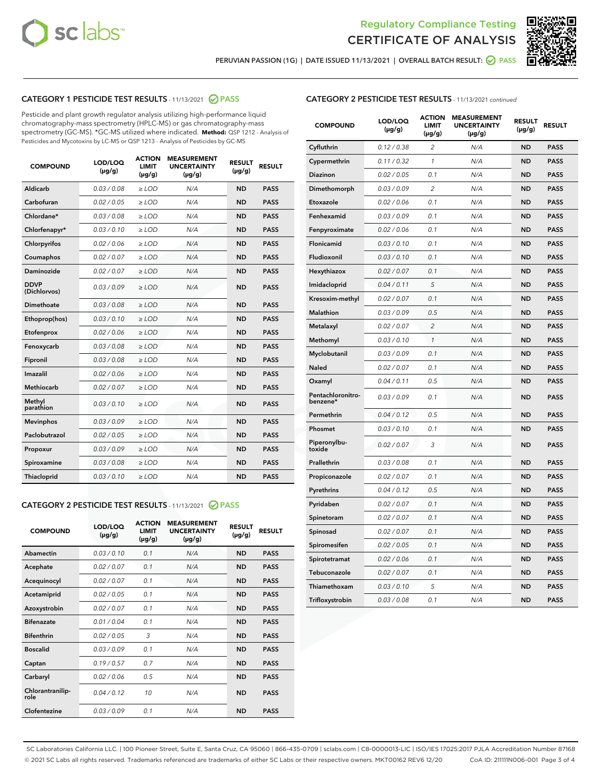



PERUVIAN PASSION (1G) | DATE ISSUED 11/13/2021 | OVERALL BATCH RESULT: @ PASS

# CATEGORY 1 PESTICIDE TEST RESULTS - 11/13/2021 2 PASS

Pesticide and plant growth regulator analysis utilizing high-performance liquid chromatography-mass spectrometry (HPLC-MS) or gas chromatography-mass spectrometry (GC-MS). \*GC-MS utilized where indicated. **Method:** QSP 1212 - Analysis of Pesticides and Mycotoxins by LC-MS or QSP 1213 - Analysis of Pesticides by GC-MS

| 0.03/0.08<br><b>ND</b><br>Aldicarb<br>$\ge$ LOD<br>N/A<br><b>PASS</b><br>Carbofuran<br>0.02 / 0.05<br>$\ge$ LOD<br>N/A<br><b>ND</b><br><b>PASS</b><br>Chlordane*<br>0.03 / 0.08<br><b>ND</b><br><b>PASS</b><br>$\ge$ LOD<br>N/A<br>0.03/0.10<br>Chlorfenapyr*<br>$\ge$ LOD<br>N/A<br><b>ND</b><br><b>PASS</b><br>N/A<br>Chlorpyrifos<br>0.02 / 0.06<br>$\ge$ LOD<br><b>ND</b><br><b>PASS</b><br>0.02 / 0.07<br>N/A<br><b>PASS</b><br>Coumaphos<br>$\ge$ LOD<br><b>ND</b><br>0.02 / 0.07<br>Daminozide<br>$\ge$ LOD<br>N/A<br><b>ND</b><br><b>PASS</b><br><b>DDVP</b><br>0.03/0.09<br>$\ge$ LOD<br>N/A<br><b>ND</b><br><b>PASS</b><br>(Dichlorvos)<br>Dimethoate<br>0.03 / 0.08<br><b>ND</b><br><b>PASS</b><br>$\ge$ LOD<br>N/A<br>0.03/0.10<br>N/A<br><b>ND</b><br><b>PASS</b><br>Ethoprop(hos)<br>$\ge$ LOD<br>0.02/0.06<br>N/A<br><b>ND</b><br><b>PASS</b><br>Etofenprox<br>$\ge$ LOD<br>0.03 / 0.08<br>Fenoxycarb<br>$\ge$ LOD<br>N/A<br><b>ND</b><br><b>PASS</b><br>0.03 / 0.08<br>N/A<br>Fipronil<br>$\ge$ LOD<br><b>ND</b><br><b>PASS</b><br>0.02 / 0.06<br>Imazalil<br>$\ge$ LOD<br>N/A<br><b>ND</b><br><b>PASS</b><br>Methiocarb<br>0.02 / 0.07<br>N/A<br>$\ge$ LOD<br><b>ND</b><br><b>PASS</b><br>Methyl<br>0.03/0.10<br>$\ge$ LOD<br>N/A<br><b>ND</b><br><b>PASS</b><br>parathion<br>0.03/0.09<br><b>PASS</b><br><b>Mevinphos</b><br>$\ge$ LOD<br>N/A<br><b>ND</b><br>Paclobutrazol<br>0.02 / 0.05<br>N/A<br><b>ND</b><br>$\ge$ LOD<br><b>PASS</b><br>0.03/0.09<br>$>$ LOD<br>N/A<br><b>ND</b><br><b>PASS</b><br>Propoxur<br>0.03 / 0.08<br>N/A<br><b>ND</b><br><b>PASS</b><br>Spiroxamine<br>$\ge$ LOD<br>0.03/0.10<br>Thiacloprid<br>$\ge$ LOD<br>N/A<br><b>ND</b><br><b>PASS</b> | <b>COMPOUND</b> | LOD/LOQ<br>$(\mu g/g)$ | <b>ACTION</b><br>LIMIT<br>$(\mu g/g)$ | <b>MEASUREMENT</b><br><b>UNCERTAINTY</b><br>$(\mu g/g)$ | <b>RESULT</b><br>$(\mu g/g)$ | <b>RESULT</b> |
|-----------------------------------------------------------------------------------------------------------------------------------------------------------------------------------------------------------------------------------------------------------------------------------------------------------------------------------------------------------------------------------------------------------------------------------------------------------------------------------------------------------------------------------------------------------------------------------------------------------------------------------------------------------------------------------------------------------------------------------------------------------------------------------------------------------------------------------------------------------------------------------------------------------------------------------------------------------------------------------------------------------------------------------------------------------------------------------------------------------------------------------------------------------------------------------------------------------------------------------------------------------------------------------------------------------------------------------------------------------------------------------------------------------------------------------------------------------------------------------------------------------------------------------------------------------------------------------------------------------------------------------------------------------------------------------------------|-----------------|------------------------|---------------------------------------|---------------------------------------------------------|------------------------------|---------------|
|                                                                                                                                                                                                                                                                                                                                                                                                                                                                                                                                                                                                                                                                                                                                                                                                                                                                                                                                                                                                                                                                                                                                                                                                                                                                                                                                                                                                                                                                                                                                                                                                                                                                                               |                 |                        |                                       |                                                         |                              |               |
|                                                                                                                                                                                                                                                                                                                                                                                                                                                                                                                                                                                                                                                                                                                                                                                                                                                                                                                                                                                                                                                                                                                                                                                                                                                                                                                                                                                                                                                                                                                                                                                                                                                                                               |                 |                        |                                       |                                                         |                              |               |
|                                                                                                                                                                                                                                                                                                                                                                                                                                                                                                                                                                                                                                                                                                                                                                                                                                                                                                                                                                                                                                                                                                                                                                                                                                                                                                                                                                                                                                                                                                                                                                                                                                                                                               |                 |                        |                                       |                                                         |                              |               |
|                                                                                                                                                                                                                                                                                                                                                                                                                                                                                                                                                                                                                                                                                                                                                                                                                                                                                                                                                                                                                                                                                                                                                                                                                                                                                                                                                                                                                                                                                                                                                                                                                                                                                               |                 |                        |                                       |                                                         |                              |               |
|                                                                                                                                                                                                                                                                                                                                                                                                                                                                                                                                                                                                                                                                                                                                                                                                                                                                                                                                                                                                                                                                                                                                                                                                                                                                                                                                                                                                                                                                                                                                                                                                                                                                                               |                 |                        |                                       |                                                         |                              |               |
|                                                                                                                                                                                                                                                                                                                                                                                                                                                                                                                                                                                                                                                                                                                                                                                                                                                                                                                                                                                                                                                                                                                                                                                                                                                                                                                                                                                                                                                                                                                                                                                                                                                                                               |                 |                        |                                       |                                                         |                              |               |
|                                                                                                                                                                                                                                                                                                                                                                                                                                                                                                                                                                                                                                                                                                                                                                                                                                                                                                                                                                                                                                                                                                                                                                                                                                                                                                                                                                                                                                                                                                                                                                                                                                                                                               |                 |                        |                                       |                                                         |                              |               |
|                                                                                                                                                                                                                                                                                                                                                                                                                                                                                                                                                                                                                                                                                                                                                                                                                                                                                                                                                                                                                                                                                                                                                                                                                                                                                                                                                                                                                                                                                                                                                                                                                                                                                               |                 |                        |                                       |                                                         |                              |               |
|                                                                                                                                                                                                                                                                                                                                                                                                                                                                                                                                                                                                                                                                                                                                                                                                                                                                                                                                                                                                                                                                                                                                                                                                                                                                                                                                                                                                                                                                                                                                                                                                                                                                                               |                 |                        |                                       |                                                         |                              |               |
|                                                                                                                                                                                                                                                                                                                                                                                                                                                                                                                                                                                                                                                                                                                                                                                                                                                                                                                                                                                                                                                                                                                                                                                                                                                                                                                                                                                                                                                                                                                                                                                                                                                                                               |                 |                        |                                       |                                                         |                              |               |
|                                                                                                                                                                                                                                                                                                                                                                                                                                                                                                                                                                                                                                                                                                                                                                                                                                                                                                                                                                                                                                                                                                                                                                                                                                                                                                                                                                                                                                                                                                                                                                                                                                                                                               |                 |                        |                                       |                                                         |                              |               |
|                                                                                                                                                                                                                                                                                                                                                                                                                                                                                                                                                                                                                                                                                                                                                                                                                                                                                                                                                                                                                                                                                                                                                                                                                                                                                                                                                                                                                                                                                                                                                                                                                                                                                               |                 |                        |                                       |                                                         |                              |               |
|                                                                                                                                                                                                                                                                                                                                                                                                                                                                                                                                                                                                                                                                                                                                                                                                                                                                                                                                                                                                                                                                                                                                                                                                                                                                                                                                                                                                                                                                                                                                                                                                                                                                                               |                 |                        |                                       |                                                         |                              |               |
|                                                                                                                                                                                                                                                                                                                                                                                                                                                                                                                                                                                                                                                                                                                                                                                                                                                                                                                                                                                                                                                                                                                                                                                                                                                                                                                                                                                                                                                                                                                                                                                                                                                                                               |                 |                        |                                       |                                                         |                              |               |
|                                                                                                                                                                                                                                                                                                                                                                                                                                                                                                                                                                                                                                                                                                                                                                                                                                                                                                                                                                                                                                                                                                                                                                                                                                                                                                                                                                                                                                                                                                                                                                                                                                                                                               |                 |                        |                                       |                                                         |                              |               |
|                                                                                                                                                                                                                                                                                                                                                                                                                                                                                                                                                                                                                                                                                                                                                                                                                                                                                                                                                                                                                                                                                                                                                                                                                                                                                                                                                                                                                                                                                                                                                                                                                                                                                               |                 |                        |                                       |                                                         |                              |               |
|                                                                                                                                                                                                                                                                                                                                                                                                                                                                                                                                                                                                                                                                                                                                                                                                                                                                                                                                                                                                                                                                                                                                                                                                                                                                                                                                                                                                                                                                                                                                                                                                                                                                                               |                 |                        |                                       |                                                         |                              |               |
|                                                                                                                                                                                                                                                                                                                                                                                                                                                                                                                                                                                                                                                                                                                                                                                                                                                                                                                                                                                                                                                                                                                                                                                                                                                                                                                                                                                                                                                                                                                                                                                                                                                                                               |                 |                        |                                       |                                                         |                              |               |
|                                                                                                                                                                                                                                                                                                                                                                                                                                                                                                                                                                                                                                                                                                                                                                                                                                                                                                                                                                                                                                                                                                                                                                                                                                                                                                                                                                                                                                                                                                                                                                                                                                                                                               |                 |                        |                                       |                                                         |                              |               |
|                                                                                                                                                                                                                                                                                                                                                                                                                                                                                                                                                                                                                                                                                                                                                                                                                                                                                                                                                                                                                                                                                                                                                                                                                                                                                                                                                                                                                                                                                                                                                                                                                                                                                               |                 |                        |                                       |                                                         |                              |               |
|                                                                                                                                                                                                                                                                                                                                                                                                                                                                                                                                                                                                                                                                                                                                                                                                                                                                                                                                                                                                                                                                                                                                                                                                                                                                                                                                                                                                                                                                                                                                                                                                                                                                                               |                 |                        |                                       |                                                         |                              |               |

# CATEGORY 2 PESTICIDE TEST RESULTS - 11/13/2021 @ PASS

| <b>COMPOUND</b>          | LOD/LOO<br>$(\mu g/g)$ | <b>ACTION</b><br>LIMIT<br>$(\mu g/g)$ | <b>MEASUREMENT</b><br><b>UNCERTAINTY</b><br>$(\mu g/g)$ | <b>RESULT</b><br>$(\mu g/g)$ | <b>RESULT</b> |  |
|--------------------------|------------------------|---------------------------------------|---------------------------------------------------------|------------------------------|---------------|--|
| Abamectin                | 0.03/0.10              | 0.1                                   | N/A                                                     | <b>ND</b>                    | <b>PASS</b>   |  |
| Acephate                 | 0.02/0.07              | 0.1                                   | N/A                                                     | <b>ND</b>                    | <b>PASS</b>   |  |
| Acequinocyl              | 0.02/0.07              | 0.1                                   | N/A                                                     | <b>ND</b>                    | <b>PASS</b>   |  |
| Acetamiprid              | 0.02/0.05              | 0.1                                   | N/A                                                     | <b>ND</b>                    | <b>PASS</b>   |  |
| Azoxystrobin             | 0.02/0.07              | 0.1                                   | N/A                                                     | <b>ND</b>                    | <b>PASS</b>   |  |
| <b>Bifenazate</b>        | 0.01 / 0.04            | 0.1                                   | N/A                                                     | <b>ND</b>                    | <b>PASS</b>   |  |
| <b>Bifenthrin</b>        | 0.02/0.05              | 3                                     | N/A                                                     | <b>ND</b>                    | <b>PASS</b>   |  |
| <b>Boscalid</b>          | 0.03/0.09              | 0.1                                   | N/A                                                     | <b>ND</b>                    | <b>PASS</b>   |  |
| Captan                   | 0.19/0.57              | 0.7                                   | N/A                                                     | <b>ND</b>                    | <b>PASS</b>   |  |
| Carbaryl                 | 0.02/0.06              | 0.5                                   | N/A                                                     | <b>ND</b>                    | <b>PASS</b>   |  |
| Chlorantranilip-<br>role | 0.04/0.12              | 10                                    | N/A                                                     | <b>ND</b>                    | <b>PASS</b>   |  |
| Clofentezine             | 0.03/0.09              | 0.1                                   | N/A                                                     | <b>ND</b>                    | <b>PASS</b>   |  |

| <b>COMPOUND</b>               | LOD/LOQ<br>(µg/g) | <b>ACTION</b><br><b>LIMIT</b><br>(µg/g) | <b>MEASUREMENT</b><br><b>UNCERTAINTY</b><br>$(\mu g/g)$ | <b>RESULT</b><br>(µg/g) | <b>RESULT</b> |
|-------------------------------|-------------------|-----------------------------------------|---------------------------------------------------------|-------------------------|---------------|
| Cyfluthrin                    | 0.12 / 0.38       | $\overline{c}$                          | N/A                                                     | <b>ND</b>               | <b>PASS</b>   |
| Cypermethrin                  | 0.11 / 0.32       | 1                                       | N/A                                                     | <b>ND</b>               | <b>PASS</b>   |
| <b>Diazinon</b>               | 0.02 / 0.05       | 0.1                                     | N/A                                                     | <b>ND</b>               | <b>PASS</b>   |
| Dimethomorph                  | 0.03 / 0.09       | 2                                       | N/A                                                     | <b>ND</b>               | <b>PASS</b>   |
| Etoxazole                     | 0.02 / 0.06       | 0.1                                     | N/A                                                     | <b>ND</b>               | <b>PASS</b>   |
| Fenhexamid                    | 0.03 / 0.09       | 0.1                                     | N/A                                                     | <b>ND</b>               | <b>PASS</b>   |
| Fenpyroximate                 | 0.02 / 0.06       | 0.1                                     | N/A                                                     | <b>ND</b>               | <b>PASS</b>   |
| Flonicamid                    | 0.03 / 0.10       | 0.1                                     | N/A                                                     | <b>ND</b>               | <b>PASS</b>   |
| Fludioxonil                   | 0.03 / 0.10       | 0.1                                     | N/A                                                     | <b>ND</b>               | <b>PASS</b>   |
| Hexythiazox                   | 0.02 / 0.07       | 0.1                                     | N/A                                                     | <b>ND</b>               | <b>PASS</b>   |
| Imidacloprid                  | 0.04 / 0.11       | 5                                       | N/A                                                     | <b>ND</b>               | <b>PASS</b>   |
| Kresoxim-methyl               | 0.02 / 0.07       | 0.1                                     | N/A                                                     | <b>ND</b>               | <b>PASS</b>   |
| Malathion                     | 0.03 / 0.09       | 0.5                                     | N/A                                                     | <b>ND</b>               | <b>PASS</b>   |
| Metalaxyl                     | 0.02 / 0.07       | $\overline{c}$                          | N/A                                                     | <b>ND</b>               | <b>PASS</b>   |
| Methomyl                      | 0.03 / 0.10       | $\mathcal{I}$                           | N/A                                                     | <b>ND</b>               | <b>PASS</b>   |
| Myclobutanil                  | 0.03 / 0.09       | 0.1                                     | N/A                                                     | <b>ND</b>               | <b>PASS</b>   |
| <b>Naled</b>                  | 0.02 / 0.07       | 0.1                                     | N/A                                                     | <b>ND</b>               | <b>PASS</b>   |
| Oxamyl                        | 0.04 / 0.11       | 0.5                                     | N/A                                                     | <b>ND</b>               | <b>PASS</b>   |
| Pentachloronitro-<br>benzene* | 0.03/0.09         | 0.1                                     | N/A                                                     | <b>ND</b>               | <b>PASS</b>   |
| Permethrin                    | 0.04 / 0.12       | 0.5                                     | N/A                                                     | <b>ND</b>               | <b>PASS</b>   |
| Phosmet                       | 0.03 / 0.10       | 0.1                                     | N/A                                                     | <b>ND</b>               | <b>PASS</b>   |
| Piperonylbu-<br>toxide        | 0.02 / 0.07       | 3                                       | N/A                                                     | <b>ND</b>               | <b>PASS</b>   |
| Prallethrin                   | 0.03 / 0.08       | 0.1                                     | N/A                                                     | <b>ND</b>               | <b>PASS</b>   |
| Propiconazole                 | 0.02 / 0.07       | 0.1                                     | N/A                                                     | <b>ND</b>               | <b>PASS</b>   |
| Pyrethrins                    | 0.04 / 0.12       | 0.5                                     | N/A                                                     | <b>ND</b>               | <b>PASS</b>   |
| Pyridaben                     | 0.02 / 0.07       | 0.1                                     | N/A                                                     | <b>ND</b>               | <b>PASS</b>   |
| Spinetoram                    | 0.02 / 0.07       | 0.1                                     | N/A                                                     | <b>ND</b>               | <b>PASS</b>   |
| Spinosad                      | 0.02 / 0.07       | 0.1                                     | N/A                                                     | <b>ND</b>               | <b>PASS</b>   |
| Spiromesifen                  | 0.02 / 0.05       | 0.1                                     | N/A                                                     | <b>ND</b>               | <b>PASS</b>   |
| Spirotetramat                 | 0.02 / 0.06       | 0.1                                     | N/A                                                     | ND                      | <b>PASS</b>   |
| Tebuconazole                  | 0.02 / 0.07       | 0.1                                     | N/A                                                     | <b>ND</b>               | <b>PASS</b>   |
| Thiamethoxam                  | 0.03 / 0.10       | 5                                       | N/A                                                     | <b>ND</b>               | <b>PASS</b>   |
| Trifloxystrobin               | 0.03 / 0.08       | 0.1                                     | N/A                                                     | <b>ND</b>               | <b>PASS</b>   |

SC Laboratories California LLC. | 100 Pioneer Street, Suite E, Santa Cruz, CA 95060 | 866-435-0709 | sclabs.com | C8-0000013-LIC | ISO/IES 17025:2017 PJLA Accreditation Number 87168 © 2021 SC Labs all rights reserved. Trademarks referenced are trademarks of either SC Labs or their respective owners. MKT00162 REV6 12/20 CoA ID: 211111N006-001 Page 3 of 4